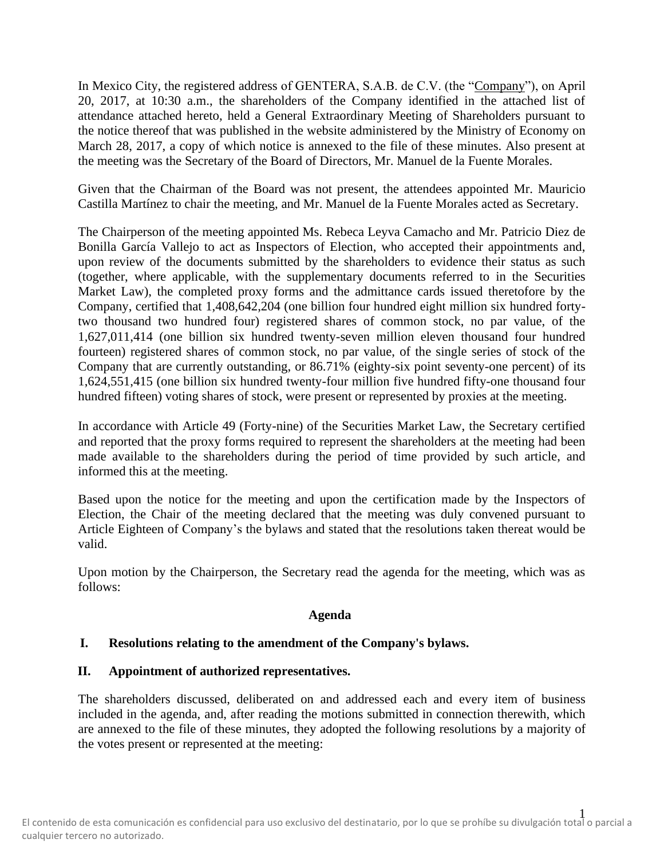In Mexico City, the registered address of GENTERA, S.A.B. de C.V. (the "Company"), on April 20, 2017, at 10:30 a.m., the shareholders of the Company identified in the attached list of attendance attached hereto, held a General Extraordinary Meeting of Shareholders pursuant to the notice thereof that was published in the website administered by the Ministry of Economy on March 28, 2017, a copy of which notice is annexed to the file of these minutes. Also present at the meeting was the Secretary of the Board of Directors, Mr. Manuel de la Fuente Morales.

Given that the Chairman of the Board was not present, the attendees appointed Mr. Mauricio Castilla Martínez to chair the meeting, and Mr. Manuel de la Fuente Morales acted as Secretary.

The Chairperson of the meeting appointed Ms. Rebeca Leyva Camacho and Mr. Patricio Diez de Bonilla García Vallejo to act as Inspectors of Election, who accepted their appointments and, upon review of the documents submitted by the shareholders to evidence their status as such (together, where applicable, with the supplementary documents referred to in the Securities Market Law), the completed proxy forms and the admittance cards issued theretofore by the Company, certified that 1,408,642,204 (one billion four hundred eight million six hundred fortytwo thousand two hundred four) registered shares of common stock, no par value, of the 1,627,011,414 (one billion six hundred twenty-seven million eleven thousand four hundred fourteen) registered shares of common stock, no par value, of the single series of stock of the Company that are currently outstanding, or 86.71% (eighty-six point seventy-one percent) of its 1,624,551,415 (one billion six hundred twenty-four million five hundred fifty-one thousand four hundred fifteen) voting shares of stock, were present or represented by proxies at the meeting.

In accordance with Article 49 (Forty-nine) of the Securities Market Law, the Secretary certified and reported that the proxy forms required to represent the shareholders at the meeting had been made available to the shareholders during the period of time provided by such article, and informed this at the meeting.

Based upon the notice for the meeting and upon the certification made by the Inspectors of Election, the Chair of the meeting declared that the meeting was duly convened pursuant to Article Eighteen of Company's the bylaws and stated that the resolutions taken thereat would be valid.

Upon motion by the Chairperson, the Secretary read the agenda for the meeting, which was as follows:

# **Agenda**

# **I. Resolutions relating to the amendment of the Company's bylaws.**

# **II. Appointment of authorized representatives.**

The shareholders discussed, deliberated on and addressed each and every item of business included in the agenda, and, after reading the motions submitted in connection therewith, which are annexed to the file of these minutes, they adopted the following resolutions by a majority of the votes present or represented at the meeting: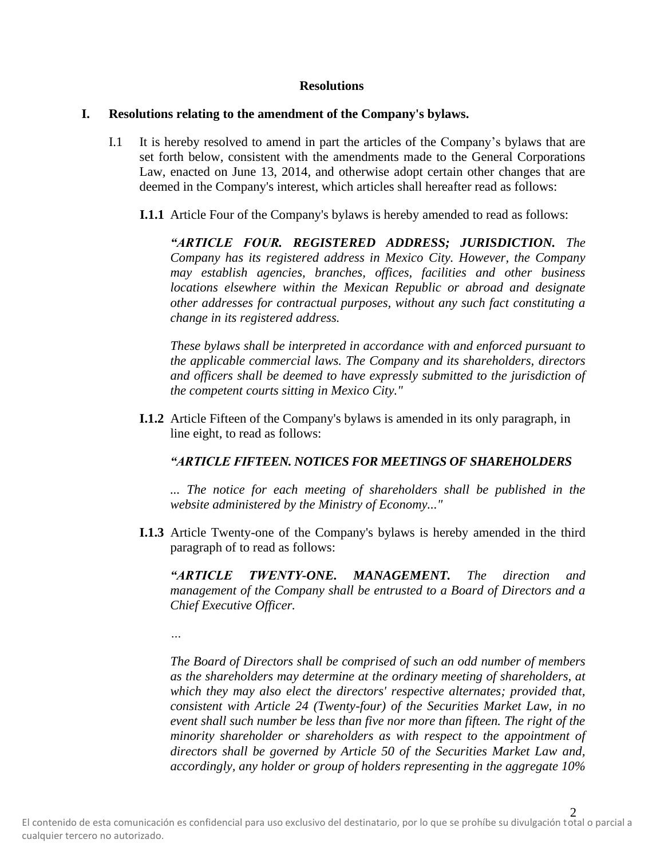#### **Resolutions**

### **I. Resolutions relating to the amendment of the Company's bylaws.**

- I.1 It is hereby resolved to amend in part the articles of the Company's bylaws that are set forth below, consistent with the amendments made to the General Corporations Law, enacted on June 13, 2014, and otherwise adopt certain other changes that are deemed in the Company's interest, which articles shall hereafter read as follows:
	- **I.1.1** Article Four of the Company's bylaws is hereby amended to read as follows:

*"ARTICLE FOUR. REGISTERED ADDRESS; JURISDICTION. The Company has its registered address in Mexico City. However, the Company may establish agencies, branches, offices, facilities and other business locations elsewhere within the Mexican Republic or abroad and designate other addresses for contractual purposes, without any such fact constituting a change in its registered address.*

*These bylaws shall be interpreted in accordance with and enforced pursuant to the applicable commercial laws. The Company and its shareholders, directors and officers shall be deemed to have expressly submitted to the jurisdiction of the competent courts sitting in Mexico City."*

**I.1.2** Article Fifteen of the Company's bylaws is amended in its only paragraph, in line eight, to read as follows:

### *"ARTICLE FIFTEEN. NOTICES FOR MEETINGS OF SHAREHOLDERS*

*... The notice for each meeting of shareholders shall be published in the website administered by the Ministry of Economy..."*

**I.1.3** Article Twenty-one of the Company's bylaws is hereby amended in the third paragraph of to read as follows:

*"ARTICLE TWENTY-ONE. MANAGEMENT. The direction and management of the Company shall be entrusted to a Board of Directors and a Chief Executive Officer.*

*…*

*The Board of Directors shall be comprised of such an odd number of members as the shareholders may determine at the ordinary meeting of shareholders, at which they may also elect the directors' respective alternates; provided that, consistent with Article 24 (Twenty-four) of the Securities Market Law, in no event shall such number be less than five nor more than fifteen. The right of the minority shareholder or shareholders as with respect to the appointment of directors shall be governed by Article 50 of the Securities Market Law and, accordingly, any holder or group of holders representing in the aggregate 10%*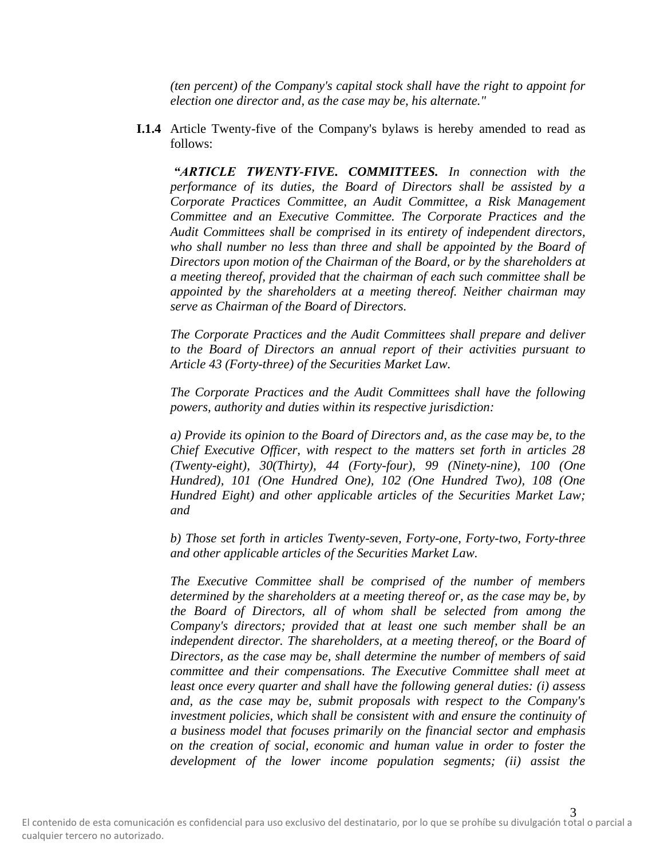*(ten percent) of the Company's capital stock shall have the right to appoint for election one director and, as the case may be, his alternate."*

**I.1.4** Article Twenty-five of the Company's bylaws is hereby amended to read as follows:

*"ARTICLE TWENTY-FIVE. COMMITTEES. In connection with the performance of its duties, the Board of Directors shall be assisted by a Corporate Practices Committee, an Audit Committee, a Risk Management Committee and an Executive Committee. The Corporate Practices and the Audit Committees shall be comprised in its entirety of independent directors,*  who shall number no less than three and shall be appointed by the Board of *Directors upon motion of the Chairman of the Board, or by the shareholders at a meeting thereof, provided that the chairman of each such committee shall be appointed by the shareholders at a meeting thereof. Neither chairman may serve as Chairman of the Board of Directors.*

*The Corporate Practices and the Audit Committees shall prepare and deliver to the Board of Directors an annual report of their activities pursuant to Article 43 (Forty-three) of the Securities Market Law.*

*The Corporate Practices and the Audit Committees shall have the following powers, authority and duties within its respective jurisdiction:*

*a) Provide its opinion to the Board of Directors and, as the case may be, to the Chief Executive Officer, with respect to the matters set forth in articles 28 (Twenty-eight), 30(Thirty), 44 (Forty-four), 99 (Ninety-nine), 100 (One Hundred), 101 (One Hundred One), 102 (One Hundred Two), 108 (One Hundred Eight) and other applicable articles of the Securities Market Law; and*

*b) Those set forth in articles Twenty-seven, Forty-one, Forty-two, Forty-three and other applicable articles of the Securities Market Law.*

*The Executive Committee shall be comprised of the number of members determined by the shareholders at a meeting thereof or, as the case may be, by the Board of Directors, all of whom shall be selected from among the Company's directors; provided that at least one such member shall be an independent director. The shareholders, at a meeting thereof, or the Board of Directors, as the case may be, shall determine the number of members of said committee and their compensations. The Executive Committee shall meet at least once every quarter and shall have the following general duties: (i) assess and, as the case may be, submit proposals with respect to the Company's investment policies, which shall be consistent with and ensure the continuity of a business model that focuses primarily on the financial sector and emphasis on the creation of social, economic and human value in order to foster the development of the lower income population segments; (ii) assist the*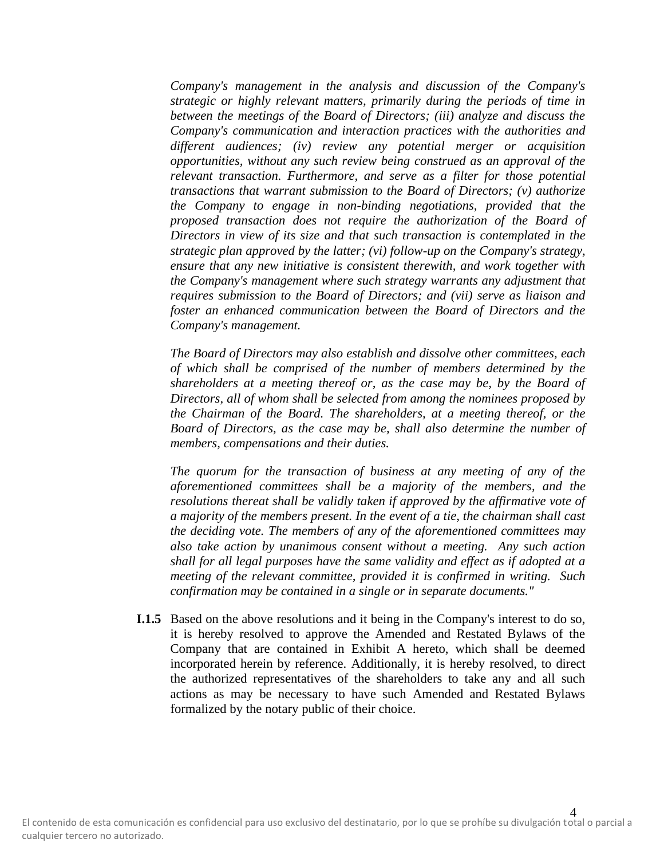*Company's management in the analysis and discussion of the Company's strategic or highly relevant matters, primarily during the periods of time in between the meetings of the Board of Directors; (iii) analyze and discuss the Company's communication and interaction practices with the authorities and different audiences; (iv) review any potential merger or acquisition opportunities, without any such review being construed as an approval of the relevant transaction. Furthermore, and serve as a filter for those potential transactions that warrant submission to the Board of Directors; (v) authorize the Company to engage in non-binding negotiations, provided that the proposed transaction does not require the authorization of the Board of Directors in view of its size and that such transaction is contemplated in the strategic plan approved by the latter; (vi) follow-up on the Company's strategy, ensure that any new initiative is consistent therewith, and work together with the Company's management where such strategy warrants any adjustment that requires submission to the Board of Directors; and (vii) serve as liaison and foster an enhanced communication between the Board of Directors and the Company's management.* 

*The Board of Directors may also establish and dissolve other committees, each of which shall be comprised of the number of members determined by the shareholders at a meeting thereof or, as the case may be, by the Board of Directors, all of whom shall be selected from among the nominees proposed by the Chairman of the Board. The shareholders, at a meeting thereof, or the Board of Directors, as the case may be, shall also determine the number of members, compensations and their duties.*

*The quorum for the transaction of business at any meeting of any of the aforementioned committees shall be a majority of the members, and the resolutions thereat shall be validly taken if approved by the affirmative vote of a majority of the members present. In the event of a tie, the chairman shall cast the deciding vote. The members of any of the aforementioned committees may also take action by unanimous consent without a meeting. Any such action shall for all legal purposes have the same validity and effect as if adopted at a meeting of the relevant committee, provided it is confirmed in writing. Such confirmation may be contained in a single or in separate documents."*

**I.1.5** Based on the above resolutions and it being in the Company's interest to do so, it is hereby resolved to approve the Amended and Restated Bylaws of the Company that are contained in Exhibit A hereto, which shall be deemed incorporated herein by reference. Additionally, it is hereby resolved, to direct the authorized representatives of the shareholders to take any and all such actions as may be necessary to have such Amended and Restated Bylaws formalized by the notary public of their choice.